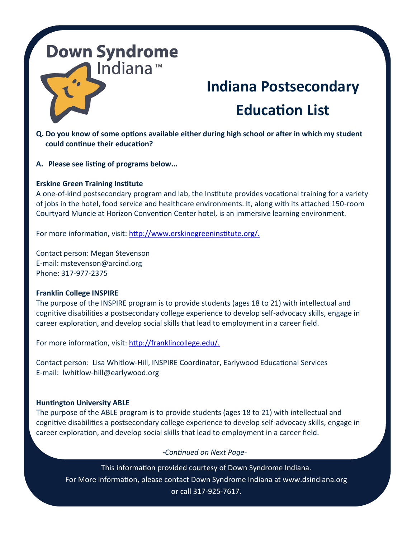### **Indiana Postsecondary Education List**

- **Q. Do you know of some options available either during high school or after in which my student could continue their education?**
- **A. Please see listing of programs below...**

#### **Erskine Green Training Institute**

A one-of-kind postsecondary program and lab, the Institute provides vocational training for a variety of jobs in the hotel, food service and healthcare environments. It, along with its attached 150-room Courtyard Muncie at Horizon Convention Center hotel, is an immersive learning environment.

For more information, visit: [http://www.erskinegreeninstitute.org/.](http://www.erskinegreeninstitute.org/)

Contact person: Megan Stevenson E-mail: mstevenson@arcind.org Phone: 317-977-2375

#### **Franklin College INSPIRE**

The purpose of the INSPIRE program is to provide students (ages 18 to 21) with intellectual and cognitive disabilities a postsecondary college experience to develop self-advocacy skills, engage in career exploration, and develop social skills that lead to employment in a career field.

For more information, visit: [http://franklincollege.edu/.](http://franklincollege.edu/)

Contact person: Lisa Whitlow-Hill, INSPIRE Coordinator, Earlywood Educational Services E-mail: lwhitlow-hill@earlywood.org

#### **Huntington University ABLE**

The purpose of the ABLE program is to provide students (ages 18 to 21) with intellectual and cognitive disabilities a postsecondary college experience to develop self-advocacy skills, engage in career exploration, and develop social skills that lead to employment in a career field.

#### *-Continued on Next Page-*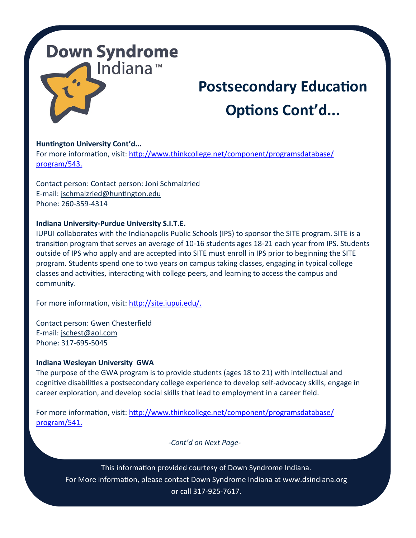## **Postsecondary Education Options Cont'd...**

#### **Huntington University Cont'd...**

For more information, visit: [http://www.thinkcollege.net/component/programsdatabase/](http://www.thinkcollege.net/component/programsdatabase/program/543.) [program/543.](http://www.thinkcollege.net/component/programsdatabase/program/543.)

Contact person: Contact person: Joni Schmalzried E-mail: [jschmalzried@huntington.edu](mailto:jschmalzried@huntington.edu) Phone: 260-359-4314

#### **Indiana University-Purdue University S.I.T.E.**

IUPUI collaborates with the Indianapolis Public Schools (IPS) to sponsor the SITE program. SITE is a transition program that serves an average of 10-16 students ages 18-21 each year from IPS. Students outside of IPS who apply and are accepted into SITE must enroll in IPS prior to beginning the SITE program. Students spend one to two years on campus taking classes, engaging in typical college classes and activities, interacting with college peers, and learning to access the campus and community.

For more information, visit: [http://site.iupui.edu/.](http://site.iupui.edu/)

Contact person: Gwen Chesterfield E-mail: [jschest@aol.com](mailto:jschest@aol.com) Phone: 317-695-5045

#### **Indiana Wesleyan University GWA**

The purpose of the GWA program is to provide students (ages 18 to 21) with intellectual and cognitive disabilities a postsecondary college experience to develop self-advocacy skills, engage in career exploration, and develop social skills that lead to employment in a career field.

For more information, visit: [http://www.thinkcollege.net/component/programsdatabase/](http://www.thinkcollege.net/component/programsdatabase/program/541.) [program/541.](http://www.thinkcollege.net/component/programsdatabase/program/541.)

*-Cont'd on Next Page-*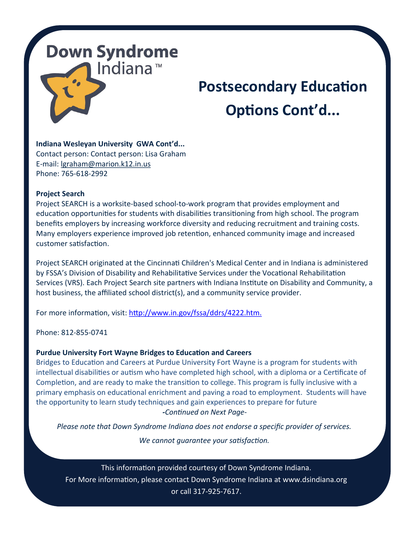## **Postsecondary Education Options Cont'd...**

**Indiana Wesleyan University GWA Cont'd...** Contact person: Contact person: Lisa Graham E-mail: [lgraham@marion.k12.in.us](mailto:lgraham@marion.k12.in.us) Phone: 765-618-2992

#### **Project Search**

Project SEARCH is a worksite-based school-to-work program that provides employment and education opportunities for students with disabilities transitioning from high school. The program benefits employers by increasing workforce diversity and reducing recruitment and training costs. Many employers experience improved job retention, enhanced community image and increased customer satisfaction.

Project SEARCH originated at the [Cincinnati Children's Medical Center](http://www.cincinnatichildrens.org/service/p/project-search/default/) and in Indiana is administered by FSSA's Division of Disability and Rehabilitative Services under the Vocational Rehabilitation Services (VRS). Each Project Search site partners with Indiana Institute on Disability and Community, a host business, the affiliated school district(s), and a community service provider.

For more information, visit: <http://www.in.gov/fssa/ddrs/4222.htm.>

Phone: 812-855-0741

#### **Purdue University Fort Wayne Bridges to Education and Careers**

Bridges to Education and Careers at Purdue University Fort Wayne is a program for students with intellectual disabilities or autism who have completed high school, with a diploma or a Certificate of Completion, and are ready to make the transition to college. This program is fully inclusive with a primary emphasis on educational enrichment and paving a road to employment. Students will have the opportunity to learn study techniques and gain experiences to prepare for future *-Continued on Next Page-*

*Please note that Down Syndrome Indiana does not endorse a specific provider of services.* 

*We cannot guarantee your satisfaction.*